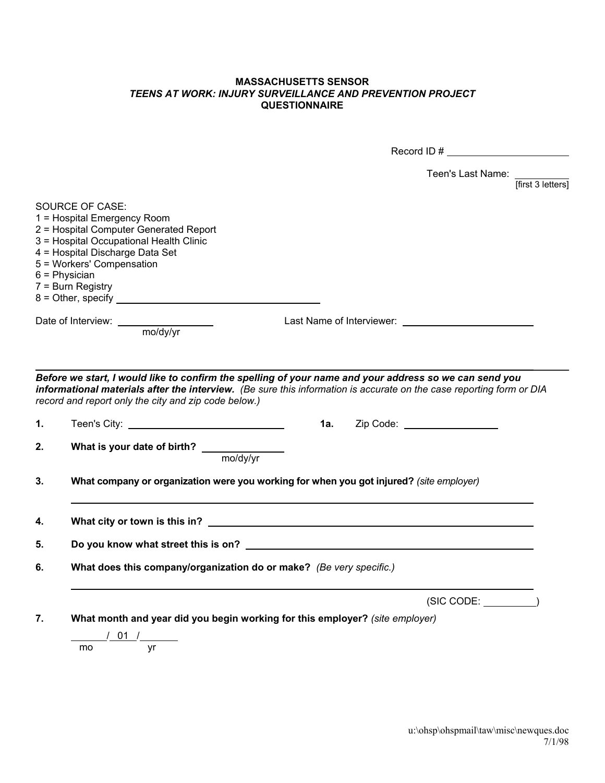## **MASSACHUSETTS SENSOR**  *TEENS AT WORK: INJURY SURVEILLANCE AND PREVENTION PROJECT*  **QUESTIONNAIRE**

|    |                                                                                                                                                                                                                                               | Record ID $\#$                                                                                                                                                                                                                 |  |
|----|-----------------------------------------------------------------------------------------------------------------------------------------------------------------------------------------------------------------------------------------------|--------------------------------------------------------------------------------------------------------------------------------------------------------------------------------------------------------------------------------|--|
|    |                                                                                                                                                                                                                                               | Teen's Last Name:<br>$f$ first 3 letters]                                                                                                                                                                                      |  |
|    | SOURCE OF CASE:<br>1 = Hospital Emergency Room<br>2 = Hospital Computer Generated Report<br>3 = Hospital Occupational Health Clinic<br>4 = Hospital Discharge Data Set<br>5 = Workers' Compensation<br>$6$ = Physician<br>$7 =$ Burn Registry |                                                                                                                                                                                                                                |  |
|    |                                                                                                                                                                                                                                               |                                                                                                                                                                                                                                |  |
|    | record and report only the city and zip code below.)                                                                                                                                                                                          | Before we start, I would like to confirm the spelling of your name and your address so we can send you<br>informational materials after the interview. (Be sure this information is accurate on the case reporting form or DIA |  |
| 1. |                                                                                                                                                                                                                                               |                                                                                                                                                                                                                                |  |
| 2. | What is your date of birth? _________<br>mo/dy/yr                                                                                                                                                                                             |                                                                                                                                                                                                                                |  |
| 3. | What company or organization were you working for when you got injured? (site employer)                                                                                                                                                       |                                                                                                                                                                                                                                |  |
| 4. |                                                                                                                                                                                                                                               |                                                                                                                                                                                                                                |  |
| 5. |                                                                                                                                                                                                                                               |                                                                                                                                                                                                                                |  |
| 6. | What does this company/organization do or make? (Be very specific.)                                                                                                                                                                           |                                                                                                                                                                                                                                |  |
|    |                                                                                                                                                                                                                                               | $(SIC CODE: \_$                                                                                                                                                                                                                |  |
| 7. | What month and year did you begin working for this employer? (site employer)                                                                                                                                                                  |                                                                                                                                                                                                                                |  |
|    | $/$ 01 $/$<br>mo<br>yr                                                                                                                                                                                                                        |                                                                                                                                                                                                                                |  |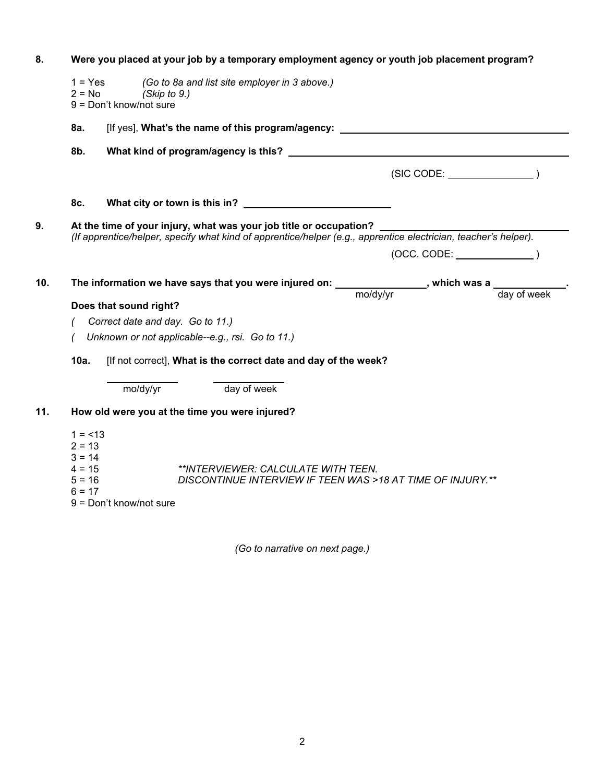| 8.  | Were you placed at your job by a temporary employment agency or youth job placement program? |                           |                                                                                                                 |          |                           |             |  |
|-----|----------------------------------------------------------------------------------------------|---------------------------|-----------------------------------------------------------------------------------------------------------------|----------|---------------------------|-------------|--|
|     | $1 = Yes$<br>$2 = No$<br>(Skip to $9$ .)<br>9 = Don't know/not sure                          |                           | (Go to 8a and list site employer in 3 above.)                                                                   |          |                           |             |  |
|     | 8a.                                                                                          |                           | [If yes], What's the name of this program/agency:                                                               |          |                           |             |  |
|     | 8b.                                                                                          |                           |                                                                                                                 |          |                           |             |  |
|     |                                                                                              |                           |                                                                                                                 |          | (SIC CODE:                |             |  |
|     | 8c.                                                                                          |                           |                                                                                                                 |          |                           |             |  |
| 9.  | At the time of your injury, what was your job title or occupation? _                         |                           |                                                                                                                 |          |                           |             |  |
|     |                                                                                              |                           | (If apprentice/helper, specify what kind of apprentice/helper (e.g., apprentice electrician, teacher's helper). |          |                           |             |  |
|     |                                                                                              |                           |                                                                                                                 |          | $(OCC. CODE: __________)$ |             |  |
| 10. |                                                                                              |                           | The information we have says that you were injured on: _______________, which was a ___________.                |          |                           |             |  |
|     |                                                                                              | Does that sound right?    |                                                                                                                 | mo/dy/yr |                           | day of week |  |
|     | Correct date and day. Go to 11.)                                                             |                           |                                                                                                                 |          |                           |             |  |
|     | Unknown or not applicable--e.g., rsi. Go to 11.)                                             |                           |                                                                                                                 |          |                           |             |  |
|     | 10a.<br>[If not correct], What is the correct date and day of the week?                      |                           |                                                                                                                 |          |                           |             |  |
|     |                                                                                              | mo/dy/yr                  | day of week                                                                                                     |          |                           |             |  |
| 11. | How old were you at the time you were injured?                                               |                           |                                                                                                                 |          |                           |             |  |
|     | $1 = 13$<br>$2 = 13$<br>$3 = 14$<br>$4 = 15$<br>$5 = 16$<br>$6 = 17$                         | $9 = Don't know/not sure$ | **INTERVIEWER: CALCULATE WITH TEEN.<br>DISCONTINUE INTERVIEW IF TEEN WAS >18 AT TIME OF INJURY.**               |          |                           |             |  |

*(Go to narrative on next page.)*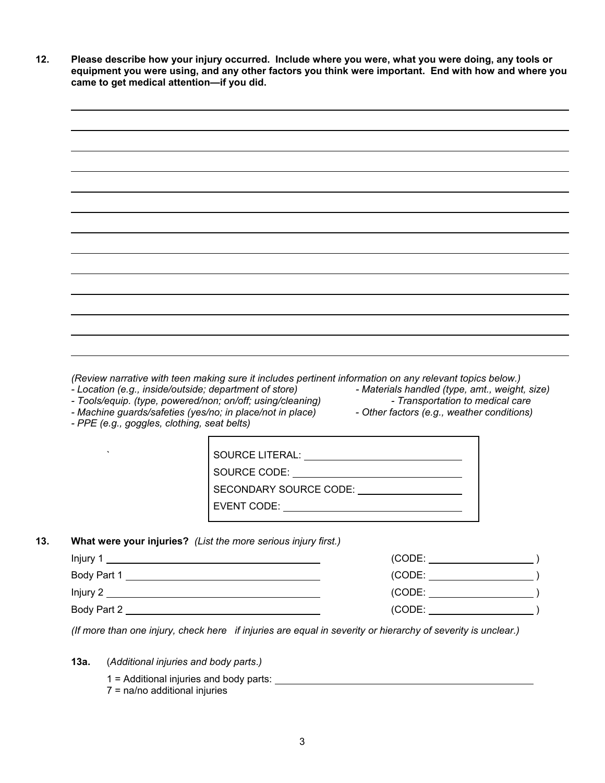**12. Please describe how your injury occurred. Include where you were, what you were doing, any tools or equipment you were using, and any other factors you think were important. End with how and where you came to get medical attention—if you did.** 



*(Review narrative with teen making sure it includes pertinent information on any relevant topics below.)* 

- *Location (e.g., inside/outside; department of store) Materials handled (type, amt., weight, size)*
- *Tools/equip. (type, powered/non; on/off; using/cleaning) Transportation to medical care*
- 
- *PPE (e.g., goggles, clothing, seat belts)*
- Machine guards/safeties (yes/no; in place/not in place) Other factors (e.g., weather conditions)

| SOURCE LITERAL:        |
|------------------------|
| SOURCE CODE:           |
| SECONDARY SOURCE CODE: |
| EVENT CODE:            |
|                        |

## **13. What were your injuries?** *(List the more serious injury first.)*

| lnjury 1    | (CODE: |
|-------------|--------|
| Body Part 1 | (CODE: |
| Injury 2    | (CODE: |
| Body Part 2 | (CODE: |

 *(If more than one injury, check here if injuries are equal in severity or hierarchy of severity is unclear.)*

- **13a.** (*Additional injuries and body parts*.*)* 
	- 1 = Additional injuries and body parts:
	- 7 = na/no additional injuries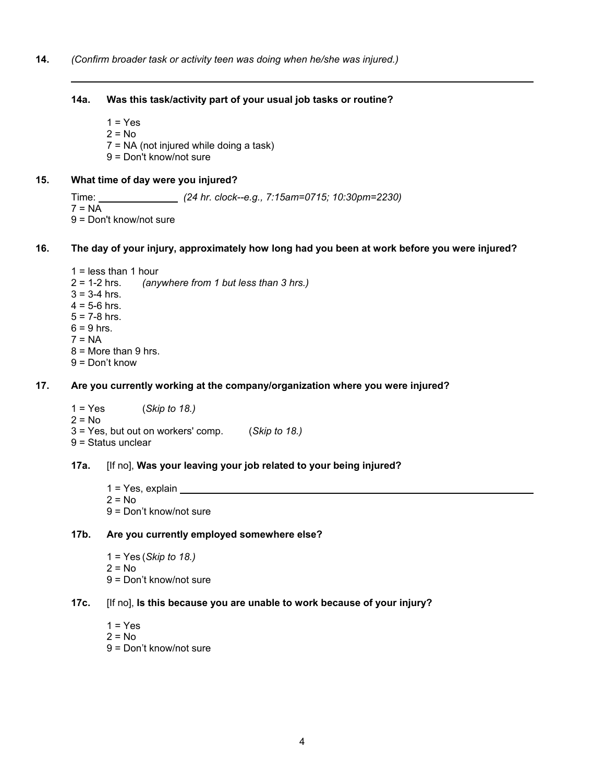#### **14a. Was this task/activity part of your usual job tasks or routine?**

 $1 = Yes$ 

 $2 = No$ 7 = NA (not injured while doing a task)

9 = Don't know/not sure

# **15. What time of day were you injured?**

 Time: *(24 hr. clock--e.g., 7:15am=0715; 10:30pm=2230)*  $7 = NA$ 9 = Don't know/not sure

## **16. The day of your injury, approximately how long had you been at work before you were injured?**

1 = less than 1 hour<br>2 = 1-2 hrs. (any *(anywhere from 1 but less than 3 hrs.)*  $3 = 3 - 4$  hrs.  $4 = 5 - 6$  hrs.  $5 = 7 - 8$  hrs.  $6 = 9$  hrs.  $7 = NA$  $8 =$  More than 9 hrs.

9 = Don't know

# **17. Are you currently working at the company/organization where you were injured?**

 1 = Yes (*Skip to 18.)*  $2 = No$  3 = Yes, but out on workers' comp. (*Skip to 18.)*  9 = Status unclear

## **17a.** [If no], **Was your leaving your job related to your being injured?**

 1 = Yes, explain  $2 = No$ 9 = Don't know/not sure

## **17b. Are you currently employed somewhere else?**

- 1 = Yes (*Skip to 18.)*  $2 = No$
- 9 = Don't know/not sure

## **17c.** [If no], **Is this because you are unable to work because of your injury?**

- $1 = Yes$  $2 = No$
- 9 = Don't know/not sure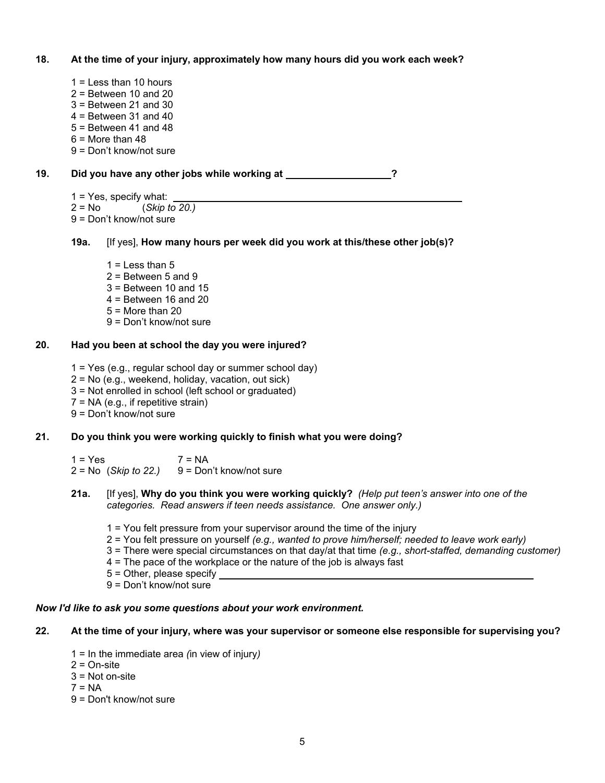## **18. At the time of your injury, approximately how many hours did you work each week?**

- 1 = Less than 10 hours
- $2 =$  Between 10 and 20
- 3 = Between 21 and 30
- $4 =$  Between 31 and 40
- 5 = Between 41 and 48
- $6 =$ More than 48
- 9 = Don't know/not sure

# **19.** Did you have any other jobs while working at \_\_\_\_\_\_\_\_\_\_\_\_\_\_\_\_?

- $1 = Yes$ , specify what:
- 2 = No (*Skip to 20.)*
- 9 = Don't know/not sure
- **19a.** [If yes], **How many hours per week did you work at this/these other job(s)?** 
	- $1 =$  Less than  $5$
	- $2 =$  Between 5 and 9
	- $3$  = Between 10 and 15
	- $4 =$  Between 16 and 20
	- $5 =$  More than 20
	- 9 = Don't know/not sure

#### **20. Had you been at school the day you were injured?**

- 1 = Yes (e.g., regular school day or summer school day)
- 2 = No (e.g., weekend, holiday, vacation, out sick)
- 3 = Not enrolled in school (left school or graduated)
- $7 = NA$  (e.g., if repetitive strain)
- 9 = Don't know/not sure

# **21. Do you think you were working quickly to finish what you were doing?**

 $1 = Yes$   $7 = NA$  $2 = No$  (*Skip to 22.*)  $9 = Don't know/not sure$ 

- **21a.** [If yes], **Why do you think you were working quickly?** *(Help put teen's answer into one of the categories. Read answers if teen needs assistance. One answer only.)* 
	- 1 = You felt pressure from your supervisor around the time of the injury
	- 2 = You felt pressure on yourself *(e.g., wanted to prove him/herself; needed to leave work early)*
	- 3 = There were special circumstances on that day/at that time *(e.g., short-staffed, demanding customer)*
	- 4 = The pace of the workplace or the nature of the job is always fast
	- 5 = Other, please specify
	- 9 = Don't know/not sure

## *Now I'd like to ask you some questions about your work environment.*

# **22. At the time of your injury, where was your supervisor or someone else responsible for supervising you?**

- 1 = In the immediate area *(*in view of injury*)*
- $2 = On-site$
- $3$  = Not on-site
- $7 = NA$
- 9 = Don't know/not sure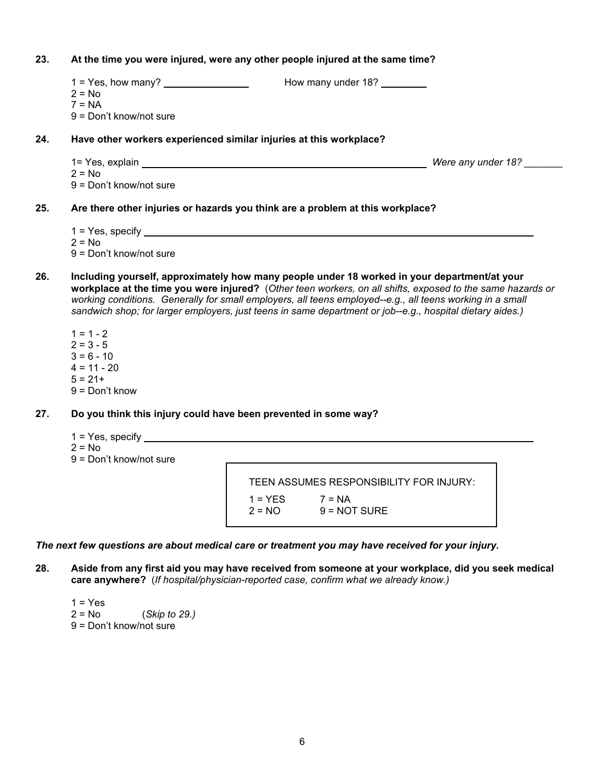- **23. At the time you were injured, were any other people injured at the same time?**  1 = Yes, how many? How many under 18?  $2 = No$  $7 = NA$  9 = Don't know/not sure **24. Have other workers experienced similar injuries at this workplace?**  1= Yes, explain **Mathematic and Table 2012** Were any under 18?  $2 = No$  9 = Don't know/not sure **25. Are there other injuries or hazards you think are a problem at this workplace?** 
	- 1 = Yes, specify
	- $2 = No$
	- 9 = Don't know/not sure
- **26. Including yourself, approximately how many people under 18 worked in your department/at your workplace at the time you were injured?** (*Other teen workers, on all shifts, exposed to the same hazards or working conditions. Generally for small employers, all teens employed--e.g., all teens working in a small sandwich shop; for larger employers, just teens in same department or job--e.g., hospital dietary aides.)* 
	- $1 = 1 2$  $2 = 3 - 5$  $3 = 6 - 10$  $4 = 11 - 20$  $5 = 21+$ 9 = Don't know
- **27. Do you think this injury could have been prevented in some way?** 
	- 1 = Yes, specify  $2 = No$
	- 9 = Don't know/not sure

 TEEN ASSUMES RESPONSIBILITY FOR INJURY:  $1 = YES$   $7 = NA$  $2 = NO$   $9 = NOT$  SURE

*The next few questions are about medical care or treatment you may have received for your injury.* 

**28. Aside from any first aid you may have received from someone at your workplace, did you seek medical care anywhere?** (*If hospital/physician-reported case, confirm what we already know.)* 

 $1 = Yes$  2 = No (*Skip to 29.)* 9 = Don't know/not sure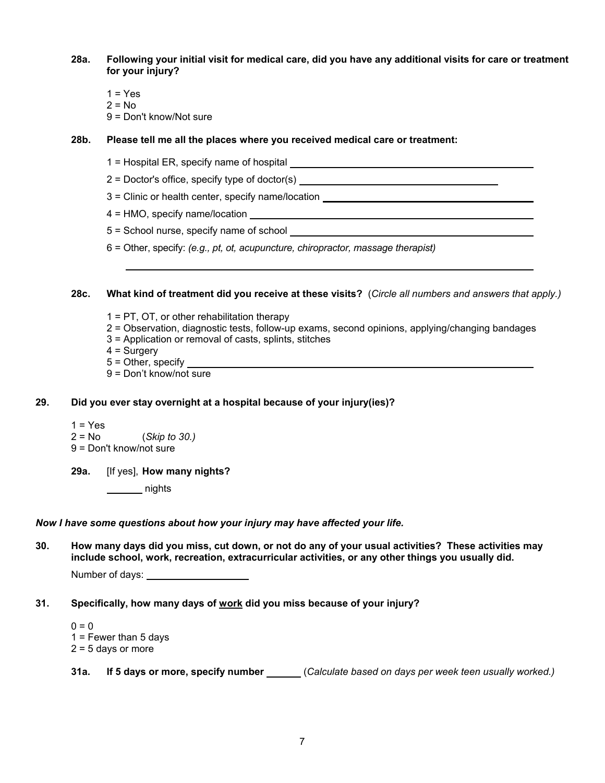**28a. Following your initial visit for medical care, did you have any additional visits for care or treatment for your injury?** 

- $1 = Yes$
- $2 = No$
- 9 = Don't know/Not sure

#### **28b. Please tell me all the places where you received medical care or treatment:**

- 1 = Hospital ER, specify name of hospital
- 2 = Doctor's office, specify type of doctor(s)
- 3 = Clinic or health center, specify name/location
- 4 = HMO, specify name/location
- 5 = School nurse, specify name of school
- 6 = Other, specify: *(e.g., pt, ot, acupuncture, chiropractor, massage therapist)*

#### **28c. What kind of treatment did you receive at these visits?** (*Circle all numbers and answers that apply.)*

- 1 = PT, OT, or other rehabilitation therapy
- 2 = Observation, diagnostic tests, follow-up exams, second opinions, applying/changing bandages
- 3 = Application or removal of casts, splints, stitches
- $4 =$  Surgery
- 5 = Other, specify
- 9 = Don't know/not sure

# **29. Did you ever stay overnight at a hospital because of your injury(ies)?**

- $1 = Yes$
- 2 = No (*Skip to 30.)*
- 9 = Don't know/not sure
- **29a.** [If yes], **How many nights?** 
	- nights

## *Now I have some questions about how your injury may have affected your life.*

**30. How many days did you miss, cut down, or not do any of your usual activities? These activities may include school, work, recreation, extracurricular activities, or any other things you usually did.** 

Number of days:

**31. Specifically, how many days of work did you miss because of your injury?** 

 $0 = 0$  $1$  = Fewer than 5 days  $2 = 5$  days or more

**31a. If 5 days or more, specify number** (*Calculate based on days per week teen usually worked.)*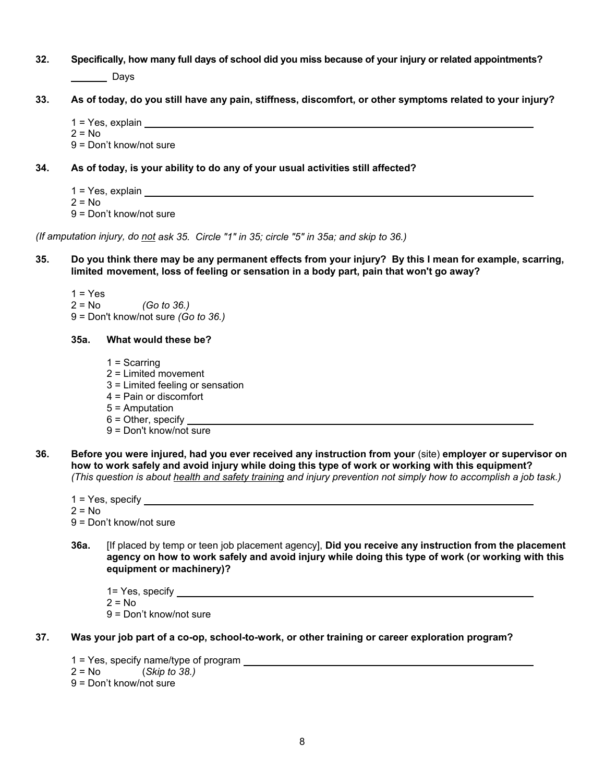- **32. Specifically, how many full days of school did you miss because of your injury or related appointments?**  Days
- **33. As of today, do you still have any pain, stiffness, discomfort, or other symptoms related to your injury?** 
	- 1 = Yes, explain
	- $2 = No$
	- 9 = Don't know/not sure
- **34. As of today, is your ability to do any of your usual activities still affected?** 
	- 1 = Yes, explain
	- $2 = No$

9 = Don't know/not sure

*(If amputation injury, do not ask 35. Circle "1" in 35; circle "5" in 35a; and skip to 36.)* 

**35. Do you think there may be any permanent effects from your injury? By this I mean for example, scarring, limited movement, loss of feeling or sensation in a body part, pain that won't go away?** 

 $1 = Yes$  2 = No *(Go to 36.)* 9 = Don't know/not sure *(Go to 36.)* 

#### **35a. What would these be?**

- 1 = Scarring 2 = Limited movement 3 = Limited feeling or sensation
- 4 = Pain or discomfort
- 
- 5 = Amputation
- 6 = Other, specify
- 9 = Don't know/not sure
- **36. Before you were injured, had you ever received any instruction from your** (site) **employer or supervisor on how to work safely and avoid injury while doing this type of work or working with this equipment?**  *(This question is about health and safety training and injury prevention not simply how to accomplish a job task.)*
	- 1 = Yes, specify
	- $2 = No$

9 = Don't know/not sure

**36a.** [If placed by temp or teen job placement agency], **Did you receive any instruction from the placement agency on how to work safely and avoid injury while doing this type of work (or working with this equipment or machinery)?** 

1= Yes, specify

 $2 = No$ 

9 = Don't know/not sure

- **37. Was your job part of a co-op, school-to-work, or other training or career exploration program?** 
	- 1 = Yes, specify name/type of program 2 = No (*Skip to 38.)*
	-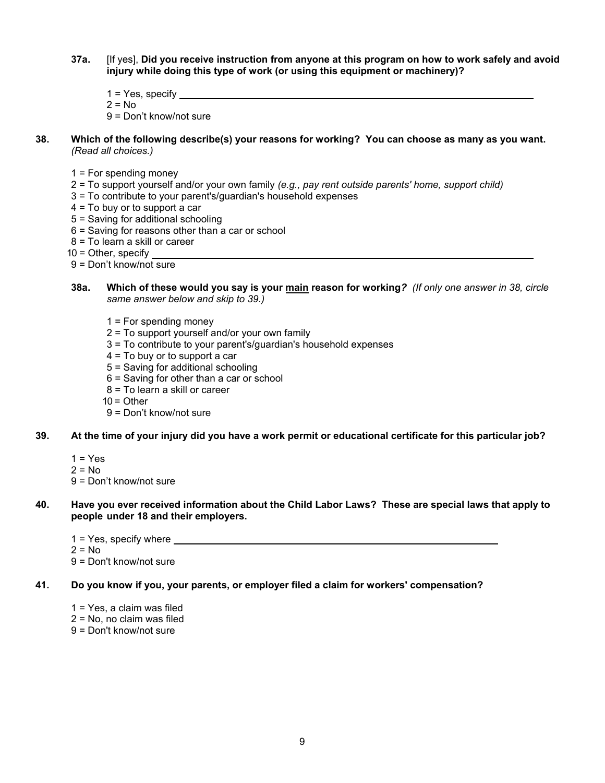- **37a.** [If yes], **Did you receive instruction from anyone at this program on how to work safely and avoid injury while doing this type of work (or using this equipment or machinery)?** 
	- $1 = Yes$ , specify \_\_\_\_\_\_

 $2 = No$ 

9 = Don't know/not sure

- **38. Which of the following describe(s) your reasons for working? You can choose as many as you want.**   *(Read all choices.)* 
	- $1$  = For spending money
	- 2 = To support yourself and/or your own family *(e.g., pay rent outside parents' home, support child)*
	- 3 = To contribute to your parent's/guardian's household expenses
	- 4 = To buy or to support a car
	- 5 = Saving for additional schooling
	- 6 = Saving for reasons other than a car or school
	- 8 = To learn a skill or career
	- $10 =$  Other, specify
	- 9 = Don't know/not sure
	- **38a. Which of these would you say is your main reason for working***? (If only one answer in 38, circle same answer below and skip to 39.)*
		- 1 = For spending money
		- 2 = To support yourself and/or your own family
		- 3 = To contribute to your parent's/guardian's household expenses
		- 4 = To buy or to support a car
		- 5 = Saving for additional schooling
		- 6 = Saving for other than a car or school
		- 8 = To learn a skill or career
		- $10 =$ Other
		- 9 = Don't know/not sure
- **39. At the time of your injury did you have a work permit or educational certificate for this particular job?** 
	- $1 = Yes$
	- $2 = No$
	- 9 = Don't know/not sure
- **40. Have you ever received information about the Child Labor Laws? These are special laws that apply to people under 18 and their employers.** 
	- 1 = Yes, specify where  $2 = No$
	- 9 = Don't know/not sure
- **41. Do you know if you, your parents, or employer filed a claim for workers' compensation?** 
	- 1 = Yes, a claim was filed  $2 = No$ , no claim was filed
	- 9 = Don't know/not sure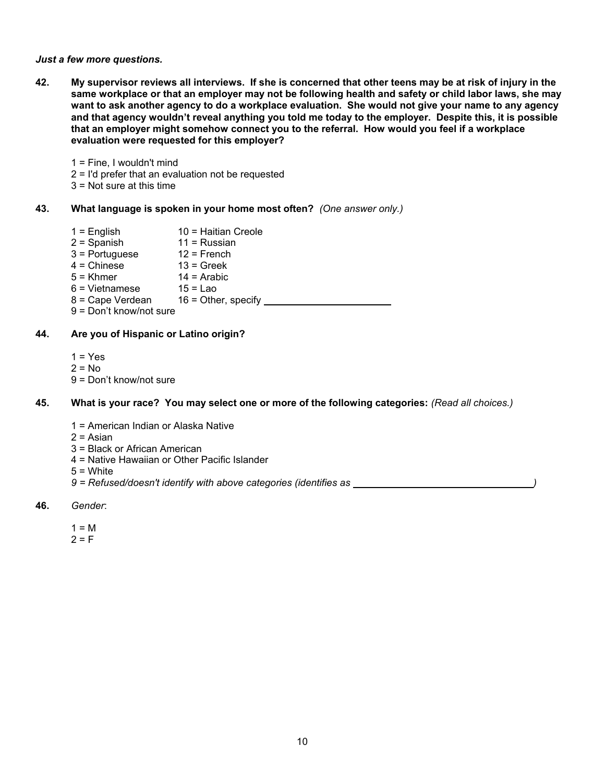#### *Just a few more questions.*

**42. My supervisor reviews all interviews. If she is concerned that other teens may be at risk of injury in the same workplace or that an employer may not be following health and safety or child labor laws, she may want to ask another agency to do a workplace evaluation. She would not give your name to any agency and that agency wouldn't reveal anything you told me today to the employer. Despite this, it is possible that an employer might somehow connect you to the referral. How would you feel if a workplace evaluation were requested for this employer?** 

1 = Fine, I wouldn't mind

2 = I'd prefer that an evaluation not be requested

3 = Not sure at this time

#### **43. What language is spoken in your home most often?** *(One answer only.)*

 $1 =$  English  $10 =$  Haitian Creole  $2 =$ Spanish 11 = Russian  $3 =$  Portuguese  $12 =$  French  $4 =$ Chinese  $13 =$ Greek<br> $5 =$ Khmer  $14 =$ Arabic  $14$  = Arabic  $6 =$  Vietnamese  $8 =$  Cape Verdean  $16 =$  Othe  $16 =$  Other, specify 9 = Don't know/not sure

#### **44. Are you of Hispanic or Latino origin?**

 $1 = Yes$  $2 = No$ 9 = Don't know/not sure

#### **45. What is your race? You may select one or more of the following categories:** *(Read all choices.)*

- 1 = American Indian or Alaska Native
- $2 =$ Asian
- 3 = Black or African American
- 4 = Native Hawaiian or Other Pacific Islander
- $5 =$  White
- 9 = Refused/doesn't identify with above categories (identifies as \_\_\_\_\_\_\_\_\_\_\_\_\_\_\_
- **46.** *Gender*:
	- $1 = M$  $2 = F$